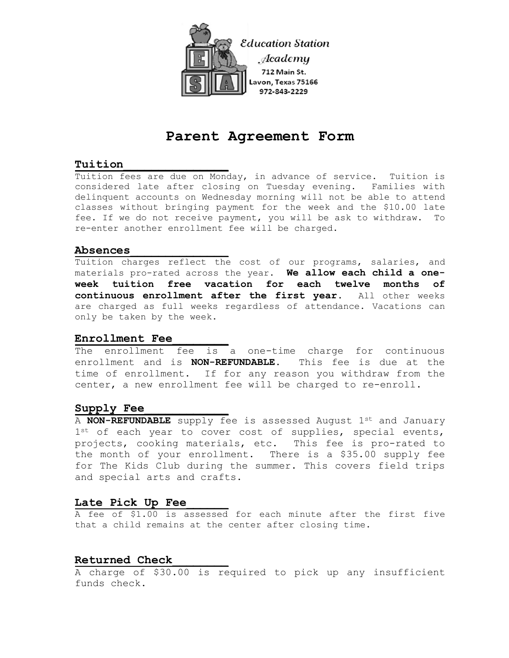

# **Parent Agreement Form**

# **Tuition\_\_\_\_\_\_\_\_\_\_\_\_\_\_\_**

Tuition fees are due on Monday, in advance of service. Tuition is considered late after closing on Tuesday evening. Families with delinquent accounts on Wednesday morning will not be able to attend classes without bringing payment for the week and the \$10.00 late fee. If we do not receive payment, you will be ask to withdraw. To re-enter another enrollment fee will be charged.

# **Absences\_\_\_\_\_\_\_\_\_\_\_\_\_\_**

Tuition charges reflect the cost of our programs, salaries, and materials pro-rated across the year. **We allow each child a oneweek tuition free vacation for each twelve months of continuous enrollment after the first year.** All other weeks are charged as full weeks regardless of attendance. Vacations can only be taken by the week.

# **Enrollment Fee\_\_\_\_\_\_\_\_**

The enrollment fee is a one-time charge for continuous enrollment and is **NON-REFUNDABLE.** This fee is due at the time of enrollment. If for any reason you withdraw from the center, a new enrollment fee will be charged to re-enroll.

# Supply Fee

A **NON-REFUNDABLE** supply fee is assessed August 1st and January  $1^{st}$  of each year to cover cost of supplies, special events, projects, cooking materials, etc. This fee is pro-rated to the month of your enrollment. There is a \$35.00 supply fee for The Kids Club during the summer. This covers field trips and special arts and crafts.

# Late Pick Up Fee

A fee of \$1.00 is assessed for each minute after the first five that a child remains at the center after closing time.

# **Returned Check\_\_\_\_\_\_\_\_**

A charge of \$30.00 is required to pick up any insufficient funds check.